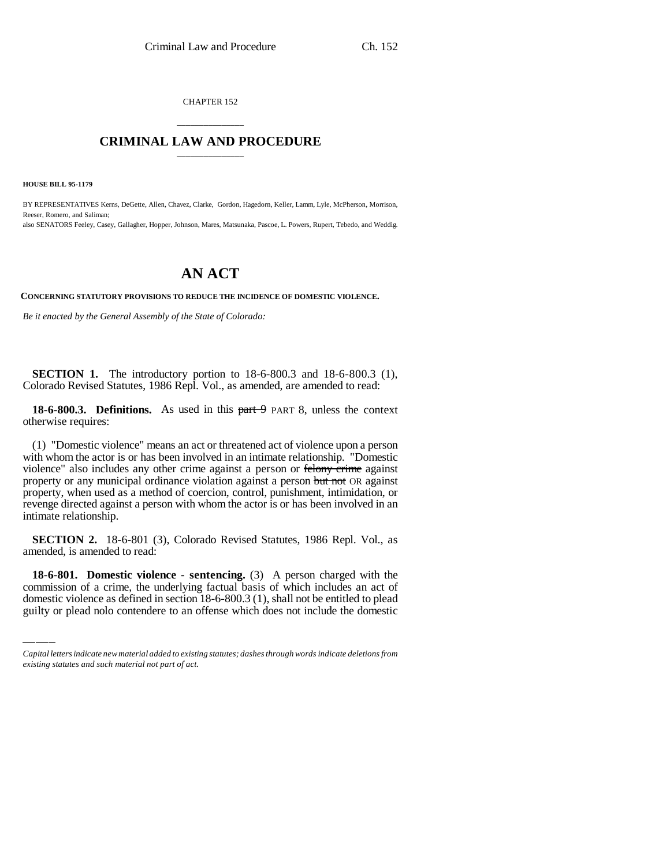CHAPTER 152

## \_\_\_\_\_\_\_\_\_\_\_\_\_\_\_ **CRIMINAL LAW AND PROCEDURE** \_\_\_\_\_\_\_\_\_\_\_\_\_\_\_

**HOUSE BILL 95-1179**

BY REPRESENTATIVES Kerns, DeGette, Allen, Chavez, Clarke, Gordon, Hagedorn, Keller, Lamm, Lyle, McPherson, Morrison, Reeser, Romero, and Saliman;

also SENATORS Feeley, Casey, Gallagher, Hopper, Johnson, Mares, Matsunaka, Pascoe, L. Powers, Rupert, Tebedo, and Weddig.

## **AN ACT**

**CONCERNING STATUTORY PROVISIONS TO REDUCE THE INCIDENCE OF DOMESTIC VIOLENCE.**

*Be it enacted by the General Assembly of the State of Colorado:*

**SECTION 1.** The introductory portion to 18-6-800.3 and 18-6-800.3 (1), Colorado Revised Statutes, 1986 Repl. Vol., as amended, are amended to read:

**18-6-800.3. Definitions.** As used in this part 9 PART 8, unless the context otherwise requires:

(1) "Domestic violence" means an act or threatened act of violence upon a person with whom the actor is or has been involved in an intimate relationship. "Domestic violence" also includes any other crime against a person or felony crime against property or any municipal ordinance violation against a person but not OR against property, when used as a method of coercion, control, punishment, intimidation, or revenge directed against a person with whom the actor is or has been involved in an intimate relationship.

amended, is amended to read: **SECTION 2.** 18-6-801 (3), Colorado Revised Statutes, 1986 Repl. Vol., as

**18-6-801. Domestic violence - sentencing.** (3) A person charged with the commission of a crime, the underlying factual basis of which includes an act of domestic violence as defined in section 18-6-800.3 (1), shall not be entitled to plead guilty or plead nolo contendere to an offense which does not include the domestic

*Capital letters indicate new material added to existing statutes; dashes through words indicate deletions from existing statutes and such material not part of act.*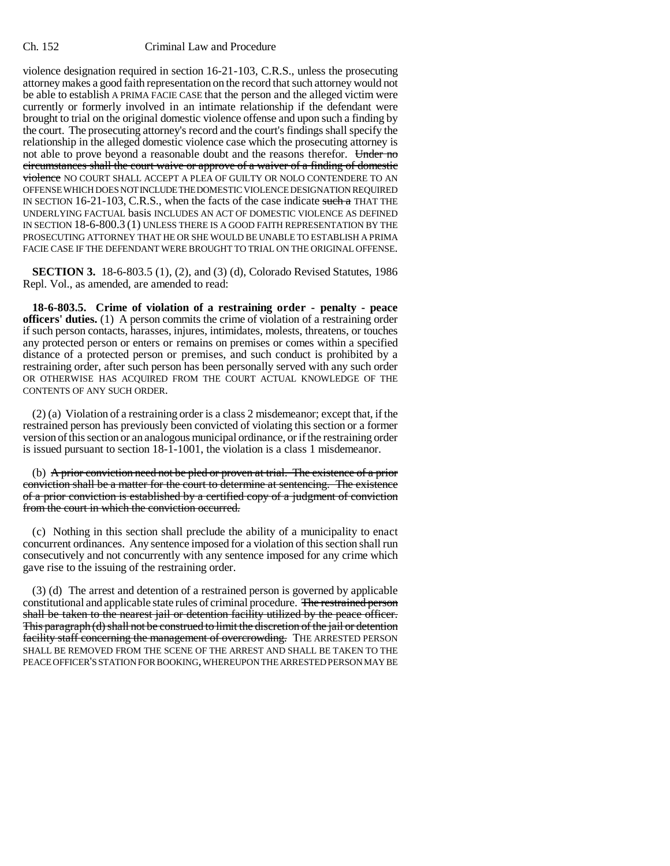## Ch. 152 Criminal Law and Procedure

violence designation required in section 16-21-103, C.R.S., unless the prosecuting attorney makes a good faith representation on the record that such attorney would not be able to establish A PRIMA FACIE CASE that the person and the alleged victim were currently or formerly involved in an intimate relationship if the defendant were brought to trial on the original domestic violence offense and upon such a finding by the court. The prosecuting attorney's record and the court's findings shall specify the relationship in the alleged domestic violence case which the prosecuting attorney is not able to prove beyond a reasonable doubt and the reasons therefor. Under no circumstances shall the court waive or approve of a waiver of a finding of domestic violence NO COURT SHALL ACCEPT A PLEA OF GUILTY OR NOLO CONTENDERE TO AN OFFENSE WHICH DOES NOT INCLUDE THE DOMESTIC VIOLENCE DESIGNATION REQUIRED IN SECTION 16-21-103, C.R.S., when the facts of the case indicate such a THAT THE UNDERLYING FACTUAL basis INCLUDES AN ACT OF DOMESTIC VIOLENCE AS DEFINED IN SECTION 18-6-800.3 (1) UNLESS THERE IS A GOOD FAITH REPRESENTATION BY THE PROSECUTING ATTORNEY THAT HE OR SHE WOULD BE UNABLE TO ESTABLISH A PRIMA FACIE CASE IF THE DEFENDANT WERE BROUGHT TO TRIAL ON THE ORIGINAL OFFENSE.

**SECTION 3.** 18-6-803.5 (1), (2), and (3) (d), Colorado Revised Statutes, 1986 Repl. Vol., as amended, are amended to read:

**18-6-803.5. Crime of violation of a restraining order - penalty - peace officers' duties.** (1) A person commits the crime of violation of a restraining order if such person contacts, harasses, injures, intimidates, molests, threatens, or touches any protected person or enters or remains on premises or comes within a specified distance of a protected person or premises, and such conduct is prohibited by a restraining order, after such person has been personally served with any such order OR OTHERWISE HAS ACQUIRED FROM THE COURT ACTUAL KNOWLEDGE OF THE CONTENTS OF ANY SUCH ORDER.

(2) (a) Violation of a restraining order is a class 2 misdemeanor; except that, if the restrained person has previously been convicted of violating this section or a former version of this section or an analogous municipal ordinance, or if the restraining order is issued pursuant to section 18-1-1001, the violation is a class 1 misdemeanor.

(b) A prior conviction need not be pled or proven at trial. The existence of a prior conviction shall be a matter for the court to determine at sentencing. The existence of a prior conviction is established by a certified copy of a judgment of conviction from the court in which the conviction occurred.

(c) Nothing in this section shall preclude the ability of a municipality to enact concurrent ordinances. Any sentence imposed for a violation of this section shall run consecutively and not concurrently with any sentence imposed for any crime which gave rise to the issuing of the restraining order.

(3) (d) The arrest and detention of a restrained person is governed by applicable constitutional and applicable state rules of criminal procedure. The restrained person shall be taken to the nearest jail or detention facility utilized by the peace officer. This paragraph (d) shall not be construed to limit the discretion of the jail or detention facility staff concerning the management of overcrowding. THE ARRESTED PERSON SHALL BE REMOVED FROM THE SCENE OF THE ARREST AND SHALL BE TAKEN TO THE PEACE OFFICER'S STATION FOR BOOKING, WHEREUPON THE ARRESTED PERSON MAY BE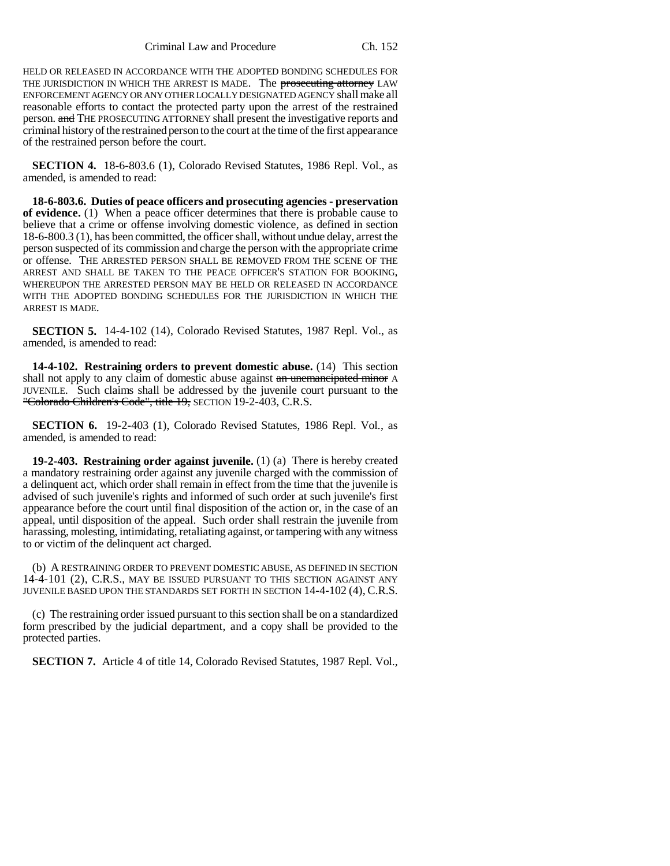Criminal Law and Procedure Ch. 152

HELD OR RELEASED IN ACCORDANCE WITH THE ADOPTED BONDING SCHEDULES FOR THE JURISDICTION IN WHICH THE ARREST IS MADE. The prosecuting attorney LAW ENFORCEMENT AGENCY OR ANY OTHER LOCALLY DESIGNATED AGENCY shall make all reasonable efforts to contact the protected party upon the arrest of the restrained person. and THE PROSECUTING ATTORNEY shall present the investigative reports and criminal history of the restrained person to the court at the time of the first appearance of the restrained person before the court.

**SECTION 4.** 18-6-803.6 (1), Colorado Revised Statutes, 1986 Repl. Vol., as amended, is amended to read:

**18-6-803.6. Duties of peace officers and prosecuting agencies - preservation of evidence.** (1) When a peace officer determines that there is probable cause to believe that a crime or offense involving domestic violence, as defined in section 18-6-800.3 (1), has been committed, the officer shall, without undue delay, arrest the person suspected of its commission and charge the person with the appropriate crime or offense. THE ARRESTED PERSON SHALL BE REMOVED FROM THE SCENE OF THE ARREST AND SHALL BE TAKEN TO THE PEACE OFFICER'S STATION FOR BOOKING, WHEREUPON THE ARRESTED PERSON MAY BE HELD OR RELEASED IN ACCORDANCE WITH THE ADOPTED BONDING SCHEDULES FOR THE JURISDICTION IN WHICH THE ARREST IS MADE.

**SECTION 5.** 14-4-102 (14), Colorado Revised Statutes, 1987 Repl. Vol., as amended, is amended to read:

**14-4-102. Restraining orders to prevent domestic abuse.** (14) This section shall not apply to any claim of domestic abuse against an unemancipated minor A JUVENILE. Such claims shall be addressed by the juvenile court pursuant to the "Colorado Children's Code", title 19, SECTION 19-2-403, C.R.S.

**SECTION 6.** 19-2-403 (1), Colorado Revised Statutes, 1986 Repl. Vol., as amended, is amended to read:

**19-2-403. Restraining order against juvenile.** (1) (a) There is hereby created a mandatory restraining order against any juvenile charged with the commission of a delinquent act, which order shall remain in effect from the time that the juvenile is advised of such juvenile's rights and informed of such order at such juvenile's first appearance before the court until final disposition of the action or, in the case of an appeal, until disposition of the appeal. Such order shall restrain the juvenile from harassing, molesting, intimidating, retaliating against, or tampering with any witness to or victim of the delinquent act charged.

(b) A RESTRAINING ORDER TO PREVENT DOMESTIC ABUSE, AS DEFINED IN SECTION 14-4-101 (2), C.R.S., MAY BE ISSUED PURSUANT TO THIS SECTION AGAINST ANY JUVENILE BASED UPON THE STANDARDS SET FORTH IN SECTION 14-4-102 (4), C.R.S.

(c) The restraining order issued pursuant to this section shall be on a standardized form prescribed by the judicial department, and a copy shall be provided to the protected parties.

**SECTION 7.** Article 4 of title 14, Colorado Revised Statutes, 1987 Repl. Vol.,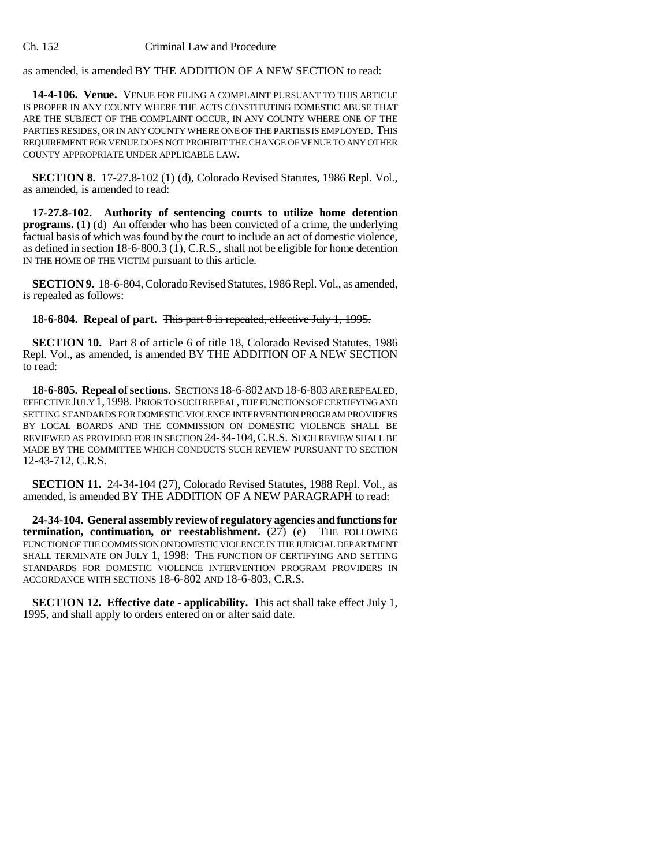as amended, is amended BY THE ADDITION OF A NEW SECTION to read:

**14-4-106. Venue.** VENUE FOR FILING A COMPLAINT PURSUANT TO THIS ARTICLE IS PROPER IN ANY COUNTY WHERE THE ACTS CONSTITUTING DOMESTIC ABUSE THAT ARE THE SUBJECT OF THE COMPLAINT OCCUR, IN ANY COUNTY WHERE ONE OF THE PARTIES RESIDES, OR IN ANY COUNTY WHERE ONE OF THE PARTIES IS EMPLOYED. THIS REQUIREMENT FOR VENUE DOES NOT PROHIBIT THE CHANGE OF VENUE TO ANY OTHER COUNTY APPROPRIATE UNDER APPLICABLE LAW.

**SECTION 8.** 17-27.8-102 (1) (d), Colorado Revised Statutes, 1986 Repl. Vol., as amended, is amended to read:

**17-27.8-102. Authority of sentencing courts to utilize home detention programs.** (1) (d) An offender who has been convicted of a crime, the underlying factual basis of which was found by the court to include an act of domestic violence, as defined in section 18-6-800.3 (1), C.R.S., shall not be eligible for home detention IN THE HOME OF THE VICTIM pursuant to this article.

**SECTION 9.** 18-6-804, Colorado Revised Statutes, 1986 Repl. Vol., as amended, is repealed as follows:

## **18-6-804. Repeal of part.** This part 8 is repealed, effective July 1, 1995.

**SECTION 10.** Part 8 of article 6 of title 18, Colorado Revised Statutes, 1986 Repl. Vol., as amended, is amended BY THE ADDITION OF A NEW SECTION to read:

**18-6-805. Repeal of sections.** SECTIONS 18-6-802 AND 18-6-803 ARE REPEALED, EFFECTIVE JULY 1, 1998. PRIOR TO SUCH REPEAL, THE FUNCTIONS OF CERTIFYING AND SETTING STANDARDS FOR DOMESTIC VIOLENCE INTERVENTION PROGRAM PROVIDERS BY LOCAL BOARDS AND THE COMMISSION ON DOMESTIC VIOLENCE SHALL BE REVIEWED AS PROVIDED FOR IN SECTION 24-34-104,C.R.S. SUCH REVIEW SHALL BE MADE BY THE COMMITTEE WHICH CONDUCTS SUCH REVIEW PURSUANT TO SECTION 12-43-712, C.R.S.

**SECTION 11.** 24-34-104 (27), Colorado Revised Statutes, 1988 Repl. Vol., as amended, is amended BY THE ADDITION OF A NEW PARAGRAPH to read:

**24-34-104. General assembly review of regulatory agencies and functions for termination, continuation, or reestablishment.** (27) (e) THE FOLLOWING FUNCTION OF THE COMMISSION ON DOMESTIC VIOLENCE IN THE JUDICIAL DEPARTMENT SHALL TERMINATE ON JULY 1, 1998: THE FUNCTION OF CERTIFYING AND SETTING STANDARDS FOR DOMESTIC VIOLENCE INTERVENTION PROGRAM PROVIDERS IN ACCORDANCE WITH SECTIONS 18-6-802 AND 18-6-803, C.R.S.

**SECTION 12. Effective date - applicability.** This act shall take effect July 1, 1995, and shall apply to orders entered on or after said date.